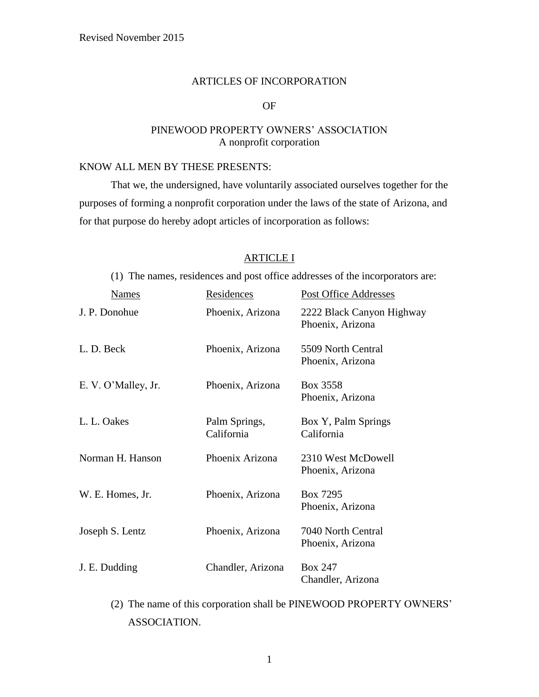#### ARTICLES OF INCORPORATION

# OF

# PINEWOOD PROPERTY OWNERS' ASSOCIATION A nonprofit corporation

# KNOW ALL MEN BY THESE PRESENTS:

That we, the undersigned, have voluntarily associated ourselves together for the purposes of forming a nonprofit corporation under the laws of the state of Arizona, and for that purpose do hereby adopt articles of incorporation as follows:

# ARTICLE I

(1) The names, residences and post office addresses of the incorporators are:

| <b>Names</b>        | Residences                  | <b>Post Office Addresses</b>                  |
|---------------------|-----------------------------|-----------------------------------------------|
| J. P. Donohue       | Phoenix, Arizona            | 2222 Black Canyon Highway<br>Phoenix, Arizona |
| L. D. Beck          | Phoenix, Arizona            | 5509 North Central<br>Phoenix, Arizona        |
| E. V. O'Malley, Jr. | Phoenix, Arizona            | Box 3558<br>Phoenix, Arizona                  |
| L. L. Oakes         | Palm Springs,<br>California | Box Y, Palm Springs<br>California             |
| Norman H. Hanson    | Phoenix Arizona             | 2310 West McDowell<br>Phoenix, Arizona        |
| W. E. Homes, Jr.    | Phoenix, Arizona            | Box 7295<br>Phoenix, Arizona                  |
| Joseph S. Lentz     | Phoenix, Arizona            | 7040 North Central<br>Phoenix, Arizona        |
| J. E. Dudding       | Chandler, Arizona           | <b>Box 247</b><br>Chandler, Arizona           |

(2) The name of this corporation shall be PINEWOOD PROPERTY OWNERS' ASSOCIATION.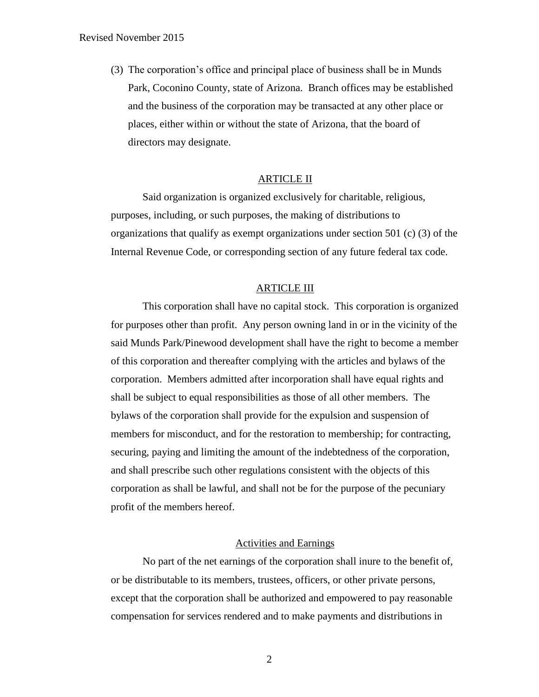(3) The corporation's office and principal place of business shall be in Munds Park, Coconino County, state of Arizona. Branch offices may be established and the business of the corporation may be transacted at any other place or places, either within or without the state of Arizona, that the board of directors may designate.

# ARTICLE II

Said organization is organized exclusively for charitable, religious, purposes, including, or such purposes, the making of distributions to organizations that qualify as exempt organizations under section 501 (c) (3) of the Internal Revenue Code, or corresponding section of any future federal tax code.

#### ARTICLE III

This corporation shall have no capital stock. This corporation is organized for purposes other than profit. Any person owning land in or in the vicinity of the said Munds Park/Pinewood development shall have the right to become a member of this corporation and thereafter complying with the articles and bylaws of the corporation. Members admitted after incorporation shall have equal rights and shall be subject to equal responsibilities as those of all other members. The bylaws of the corporation shall provide for the expulsion and suspension of members for misconduct, and for the restoration to membership; for contracting, securing, paying and limiting the amount of the indebtedness of the corporation, and shall prescribe such other regulations consistent with the objects of this corporation as shall be lawful, and shall not be for the purpose of the pecuniary profit of the members hereof.

# Activities and Earnings

No part of the net earnings of the corporation shall inure to the benefit of, or be distributable to its members, trustees, officers, or other private persons, except that the corporation shall be authorized and empowered to pay reasonable compensation for services rendered and to make payments and distributions in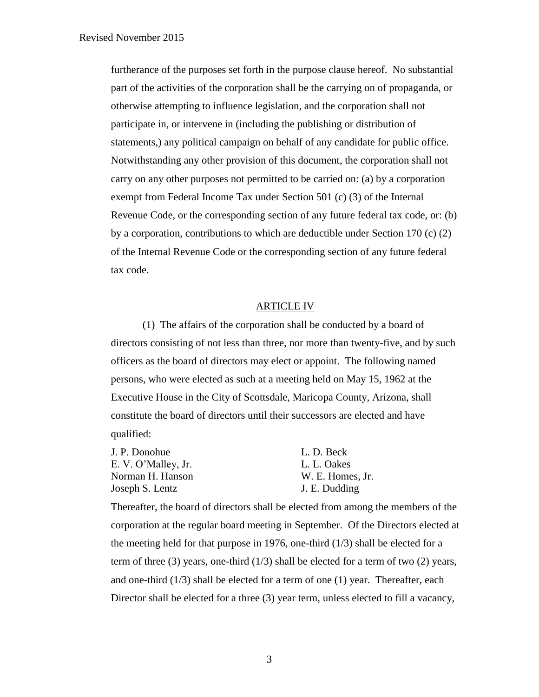furtherance of the purposes set forth in the purpose clause hereof. No substantial part of the activities of the corporation shall be the carrying on of propaganda, or otherwise attempting to influence legislation, and the corporation shall not participate in, or intervene in (including the publishing or distribution of statements,) any political campaign on behalf of any candidate for public office. Notwithstanding any other provision of this document, the corporation shall not carry on any other purposes not permitted to be carried on: (a) by a corporation exempt from Federal Income Tax under Section 501 (c) (3) of the Internal Revenue Code, or the corresponding section of any future federal tax code, or: (b) by a corporation, contributions to which are deductible under Section 170 (c) (2) of the Internal Revenue Code or the corresponding section of any future federal tax code.

# ARTICLE IV

(1) The affairs of the corporation shall be conducted by a board of directors consisting of not less than three, nor more than twenty-five, and by such officers as the board of directors may elect or appoint. The following named persons, who were elected as such at a meeting held on May 15, 1962 at the Executive House in the City of Scottsdale, Maricopa County, Arizona, shall constitute the board of directors until their successors are elected and have qualified:

| J. P. Donohue       | L. D. Beck       |
|---------------------|------------------|
| E. V. O'Malley, Jr. | L. L. Oakes      |
| Norman H. Hanson    | W. E. Homes, Jr. |
| Joseph S. Lentz     | J. E. Dudding    |

Thereafter, the board of directors shall be elected from among the members of the corporation at the regular board meeting in September. Of the Directors elected at the meeting held for that purpose in 1976, one-third  $(1/3)$  shall be elected for a term of three (3) years, one-third (1/3) shall be elected for a term of two (2) years, and one-third  $(1/3)$  shall be elected for a term of one  $(1)$  year. Thereafter, each Director shall be elected for a three (3) year term, unless elected to fill a vacancy,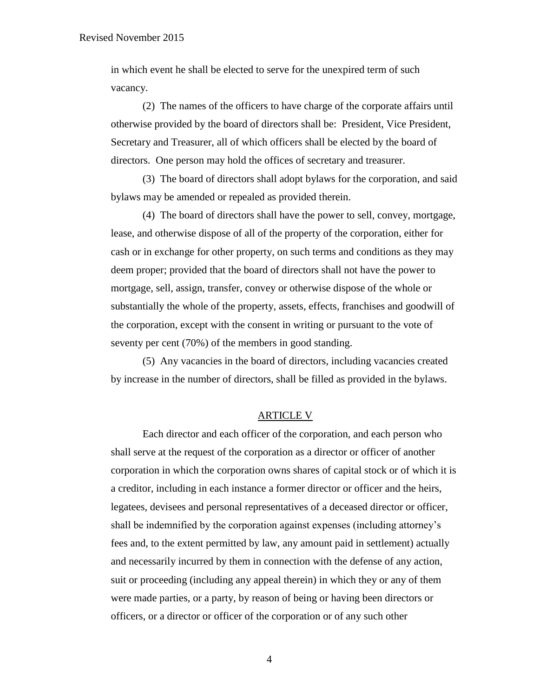in which event he shall be elected to serve for the unexpired term of such vacancy.

(2) The names of the officers to have charge of the corporate affairs until otherwise provided by the board of directors shall be: President, Vice President, Secretary and Treasurer, all of which officers shall be elected by the board of directors. One person may hold the offices of secretary and treasurer.

(3) The board of directors shall adopt bylaws for the corporation, and said bylaws may be amended or repealed as provided therein.

(4) The board of directors shall have the power to sell, convey, mortgage, lease, and otherwise dispose of all of the property of the corporation, either for cash or in exchange for other property, on such terms and conditions as they may deem proper; provided that the board of directors shall not have the power to mortgage, sell, assign, transfer, convey or otherwise dispose of the whole or substantially the whole of the property, assets, effects, franchises and goodwill of the corporation, except with the consent in writing or pursuant to the vote of seventy per cent (70%) of the members in good standing.

(5) Any vacancies in the board of directors, including vacancies created by increase in the number of directors, shall be filled as provided in the bylaws.

### ARTICLE V

Each director and each officer of the corporation, and each person who shall serve at the request of the corporation as a director or officer of another corporation in which the corporation owns shares of capital stock or of which it is a creditor, including in each instance a former director or officer and the heirs, legatees, devisees and personal representatives of a deceased director or officer, shall be indemnified by the corporation against expenses (including attorney's fees and, to the extent permitted by law, any amount paid in settlement) actually and necessarily incurred by them in connection with the defense of any action, suit or proceeding (including any appeal therein) in which they or any of them were made parties, or a party, by reason of being or having been directors or officers, or a director or officer of the corporation or of any such other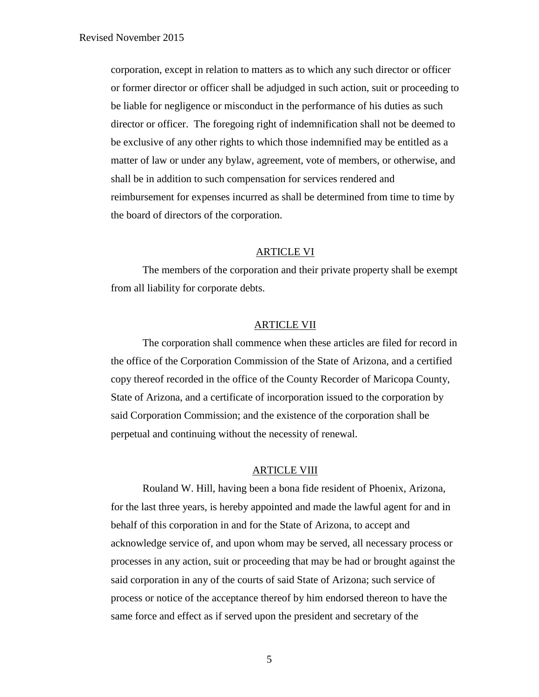corporation, except in relation to matters as to which any such director or officer or former director or officer shall be adjudged in such action, suit or proceeding to be liable for negligence or misconduct in the performance of his duties as such director or officer. The foregoing right of indemnification shall not be deemed to be exclusive of any other rights to which those indemnified may be entitled as a matter of law or under any bylaw, agreement, vote of members, or otherwise, and shall be in addition to such compensation for services rendered and reimbursement for expenses incurred as shall be determined from time to time by the board of directors of the corporation.

# ARTICLE VI

The members of the corporation and their private property shall be exempt from all liability for corporate debts.

### ARTICLE VII

The corporation shall commence when these articles are filed for record in the office of the Corporation Commission of the State of Arizona, and a certified copy thereof recorded in the office of the County Recorder of Maricopa County, State of Arizona, and a certificate of incorporation issued to the corporation by said Corporation Commission; and the existence of the corporation shall be perpetual and continuing without the necessity of renewal.

# ARTICLE VIII

Rouland W. Hill, having been a bona fide resident of Phoenix, Arizona, for the last three years, is hereby appointed and made the lawful agent for and in behalf of this corporation in and for the State of Arizona, to accept and acknowledge service of, and upon whom may be served, all necessary process or processes in any action, suit or proceeding that may be had or brought against the said corporation in any of the courts of said State of Arizona; such service of process or notice of the acceptance thereof by him endorsed thereon to have the same force and effect as if served upon the president and secretary of the